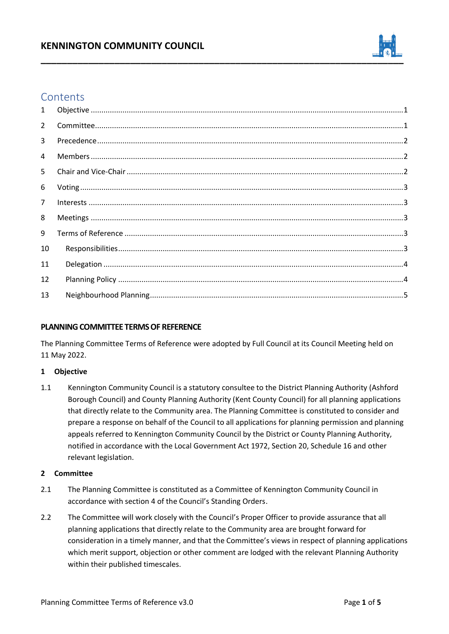

# **Contents**

| $\mathbf{1}$   |  |
|----------------|--|
| $2^{\circ}$    |  |
| $\overline{3}$ |  |
| 4              |  |
| 5 <sup>1</sup> |  |
| 6              |  |
| $\overline{7}$ |  |
| 8              |  |
| 9              |  |
| 10             |  |
| 11             |  |
| 12             |  |
| 13             |  |

# **PLANNING COMMITTEE TERMS OF REFERENCE**

The Planning Committee Terms of Reference were adopted by Full Council at its Council Meeting held on 11 May 2022.

# <span id="page-0-0"></span>**1 Objective**

1.1 Kennington Community Council is a statutory consultee to the District Planning Authority (Ashford Borough Council) and County Planning Authority (Kent County Council) for all planning applications that directly relate to the Community area. The Planning Committee is constituted to consider and prepare a response on behalf of the Council to all applications for planning permission and planning appeals referred to Kennington Community Council by the District or County Planning Authority, notified in accordance with the Local Government Act 1972, Section 20, Schedule 16 and other relevant legislation.

# <span id="page-0-1"></span>**2 Committee**

- 2.1 The Planning Committee is constituted as a Committee of Kennington Community Council in accordance with section 4 of the Council's Standing Orders.
- 2.2 The Committee will work closely with the Council's Proper Officer to provide assurance that all planning applications that directly relate to the Community area are brought forward for consideration in a timely manner, and that the Committee's views in respect of planning applications which merit support, objection or other comment are lodged with the relevant Planning Authority within their published timescales.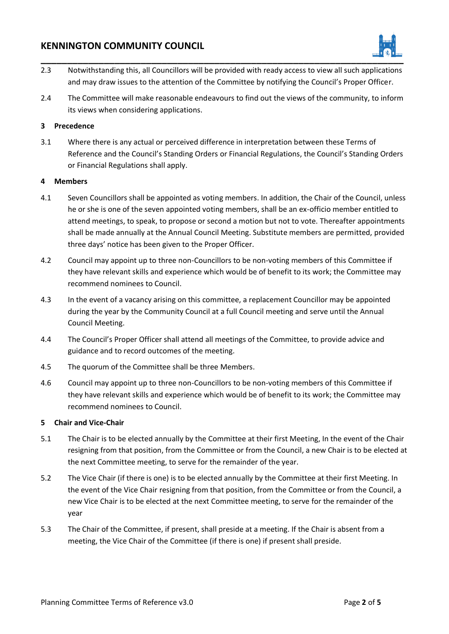# **KENNINGTON COMMUNITY COUNCIL**



- 2.3 Notwithstanding this, all Councillors will be provided with ready access to view all such applications and may draw issues to the attention of the Committee by notifying the Council's Proper Officer.
- 2.4 The Committee will make reasonable endeavours to find out the views of the community, to inform its views when considering applications.

#### <span id="page-1-0"></span>**3 Precedence**

3.1 Where there is any actual or perceived difference in interpretation between these Terms of Reference and the Council's Standing Orders or Financial Regulations, the Council's Standing Orders or Financial Regulations shall apply.

#### <span id="page-1-1"></span>**4 Members**

- 4.1 Seven Councillors shall be appointed as voting members. In addition, the Chair of the Council, unless he or she is one of the seven appointed voting members, shall be an ex-officio member entitled to attend meetings, to speak, to propose or second a motion but not to vote. Thereafter appointments shall be made annually at the Annual Council Meeting. Substitute members are permitted, provided three days' notice has been given to the Proper Officer.
- 4.2 Council may appoint up to three non-Councillors to be non-voting members of this Committee if they have relevant skills and experience which would be of benefit to its work; the Committee may recommend nominees to Council.
- 4.3 In the event of a vacancy arising on this committee, a replacement Councillor may be appointed during the year by the Community Council at a full Council meeting and serve until the Annual Council Meeting.
- 4.4 The Council's Proper Officer shall attend all meetings of the Committee, to provide advice and guidance and to record outcomes of the meeting.
- 4.5 The quorum of the Committee shall be three Members.
- 4.6 Council may appoint up to three non-Councillors to be non-voting members of this Committee if they have relevant skills and experience which would be of benefit to its work; the Committee may recommend nominees to Council.

#### <span id="page-1-2"></span>**5 Chair and Vice-Chair**

- 5.1 The Chair is to be elected annually by the Committee at their first Meeting, In the event of the Chair resigning from that position, from the Committee or from the Council, a new Chair is to be elected at the next Committee meeting, to serve for the remainder of the year.
- 5.2 The Vice Chair (if there is one) is to be elected annually by the Committee at their first Meeting. In the event of the Vice Chair resigning from that position, from the Committee or from the Council, a new Vice Chair is to be elected at the next Committee meeting, to serve for the remainder of the year
- 5.3 The Chair of the Committee, if present, shall preside at a meeting. If the Chair is absent from a meeting, the Vice Chair of the Committee (if there is one) if present shall preside.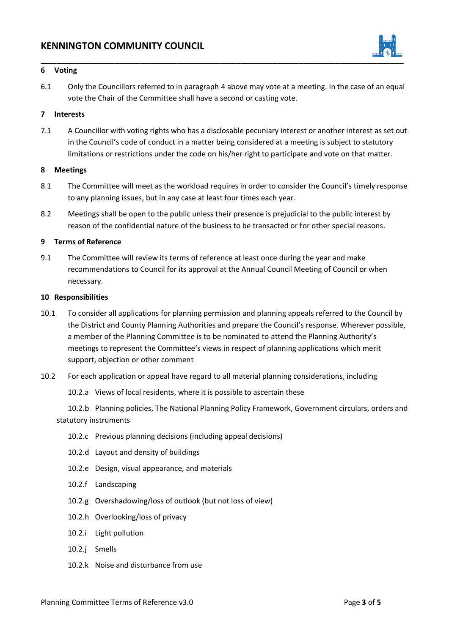

#### <span id="page-2-0"></span>**6 Voting**

6.1 Only the Councillors referred to in paragraph 4 above may vote at a meeting. In the case of an equal vote the Chair of the Committee shall have a second or casting vote.

## <span id="page-2-1"></span>**7 Interests**

7.1 A Councillor with voting rights who has a disclosable pecuniary interest or another interest as set out in the Council's code of conduct in a matter being considered at a meeting is subject to statutory limitations or restrictions under the code on his/her right to participate and vote on that matter.

#### <span id="page-2-2"></span>**8 Meetings**

- 8.1 The Committee will meet as the workload requires in order to consider the Council's timely response to any planning issues, but in any case at least four times each year.
- 8.2 Meetings shall be open to the public unless their presence is prejudicial to the public interest by reason of the confidential nature of the business to be transacted or for other special reasons.

#### <span id="page-2-3"></span>**9 Terms of Reference**

9.1 The Committee will review its terms of reference at least once during the year and make recommendations to Council for its approval at the Annual Council Meeting of Council or when necessary.

#### <span id="page-2-4"></span>**10 Responsibilities**

- 10.1 To consider all applications for planning permission and planning appeals referred to the Council by the District and County Planning Authorities and prepare the Council's response. Wherever possible, a member of the Planning Committee is to be nominated to attend the Planning Authority's meetings to represent the Committee's views in respect of planning applications which merit support, objection or other comment
- 10.2 For each application or appeal have regard to all material planning considerations, including
	- 10.2.a Views of local residents, where it is possible to ascertain these

10.2.b Planning policies, The National Planning Policy Framework, Government circulars, orders and statutory instruments

- 10.2.c Previous planning decisions (including appeal decisions)
- 10.2.d Layout and density of buildings
- 10.2.e Design, visual appearance, and materials
- 10.2.f Landscaping
- 10.2.g Overshadowing/loss of outlook (but not loss of view)
- 10.2.h Overlooking/loss of privacy
- 10.2.i Light pollution
- 10.2.j Smells
- 10.2.k Noise and disturbance from use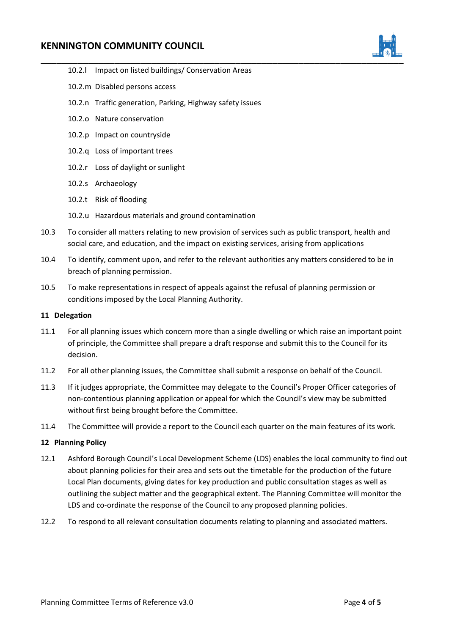# **KENNINGTON COMMUNITY COUNCIL**



- 10.2.l Impact on listed buildings/ Conservation Areas
- 10.2.m Disabled persons access
- 10.2.n Traffic generation, Parking, Highway safety issues
- 10.2.o Nature conservation
- 10.2.p Impact on countryside
- 10.2.q Loss of important trees
- 10.2.r Loss of daylight or sunlight
- 10.2.s Archaeology
- 10.2.t Risk of flooding
- 10.2.u Hazardous materials and ground contamination
- 10.3 To consider all matters relating to new provision of services such as public transport, health and social care, and education, and the impact on existing services, arising from applications
- 10.4 To identify, comment upon, and refer to the relevant authorities any matters considered to be in breach of planning permission.
- 10.5 To make representations in respect of appeals against the refusal of planning permission or conditions imposed by the Local Planning Authority.

#### <span id="page-3-0"></span>**11 Delegation**

- 11.1 For all planning issues which concern more than a single dwelling or which raise an important point of principle, the Committee shall prepare a draft response and submit this to the Council for its decision.
- 11.2 For all other planning issues, the Committee shall submit a response on behalf of the Council.
- 11.3 If it judges appropriate, the Committee may delegate to the Council's Proper Officer categories of non-contentious planning application or appeal for which the Council's view may be submitted without first being brought before the Committee.
- 11.4 The Committee will provide a report to the Council each quarter on the main features of its work.

#### <span id="page-3-1"></span>**12 Planning Policy**

- 12.1 Ashford Borough Council's Local Development Scheme (LDS) enables the local community to find out about planning policies for their area and sets out the timetable for the production of the future Local Plan documents, giving dates for key production and public consultation stages as well as outlining the subject matter and the geographical extent. The Planning Committee will monitor the LDS and co-ordinate the response of the Council to any proposed planning policies.
- 12.2 To respond to all relevant consultation documents relating to planning and associated matters.